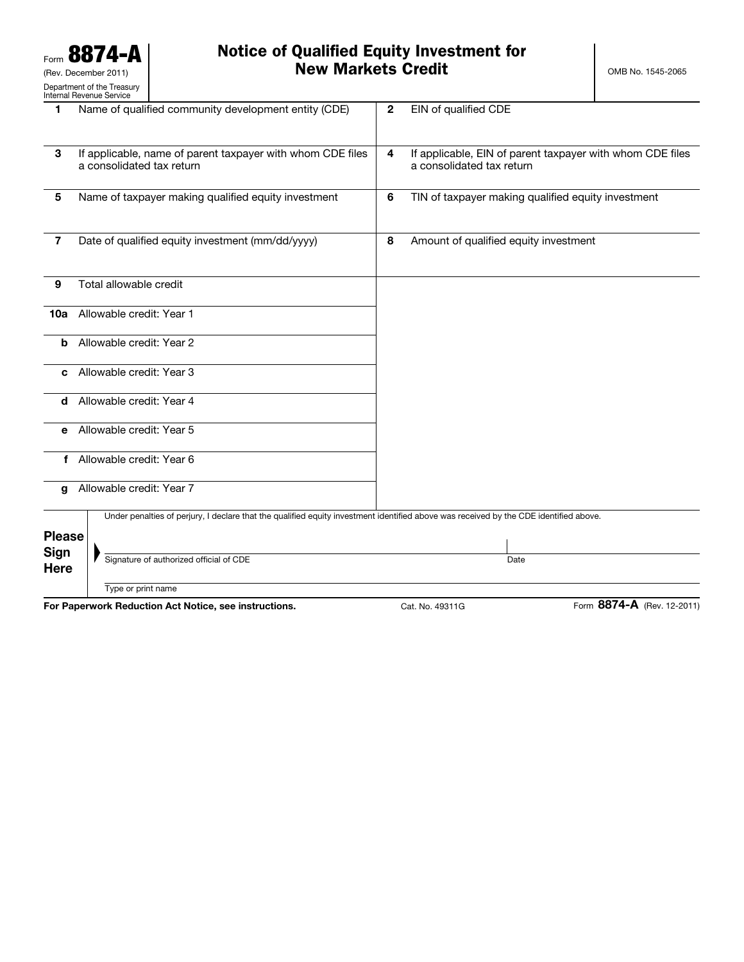### Notice of Qualified Equity Investment for **New Markets Credit Credit Credit CRED OMB No. 1545-2065**

| 1                          | Name of qualified community development entity (CDE)                                                                                  | $\mathbf{2}$   | EIN of qualified CDE                                                                   |
|----------------------------|---------------------------------------------------------------------------------------------------------------------------------------|----------------|----------------------------------------------------------------------------------------|
| 3                          | If applicable, name of parent taxpayer with whom CDE files<br>a consolidated tax return                                               | $\overline{4}$ | If applicable, EIN of parent taxpayer with whom CDE files<br>a consolidated tax return |
| 5                          | Name of taxpayer making qualified equity investment                                                                                   | 6              | TIN of taxpayer making qualified equity investment                                     |
| $\overline{7}$             | Date of qualified equity investment (mm/dd/yyyy)                                                                                      | 8              | Amount of qualified equity investment                                                  |
| 9                          | Total allowable credit                                                                                                                |                |                                                                                        |
| 10a                        | Allowable credit: Year 1                                                                                                              |                |                                                                                        |
| b                          | Allowable credit: Year 2                                                                                                              |                |                                                                                        |
| c                          | Allowable credit: Year 3                                                                                                              |                |                                                                                        |
| d                          | Allowable credit: Year 4                                                                                                              |                |                                                                                        |
| е                          | Allowable credit: Year 5                                                                                                              |                |                                                                                        |
| f                          | Allowable credit: Year 6                                                                                                              |                |                                                                                        |
| q                          | Allowable credit: Year 7                                                                                                              |                |                                                                                        |
| <b>Please</b>              | Under penalties of perjury, I declare that the qualified equity investment identified above was received by the CDE identified above. |                |                                                                                        |
| <b>Sign</b><br><b>Here</b> | Signature of authorized official of CDE                                                                                               |                | Date                                                                                   |
|                            | Type or print name                                                                                                                    |                | <b>0074 A</b>                                                                          |

For Paperwork Reduction Act Notice, see instructions. Cat. No. 49311G Form 8874-A (Rev. 12-2011)